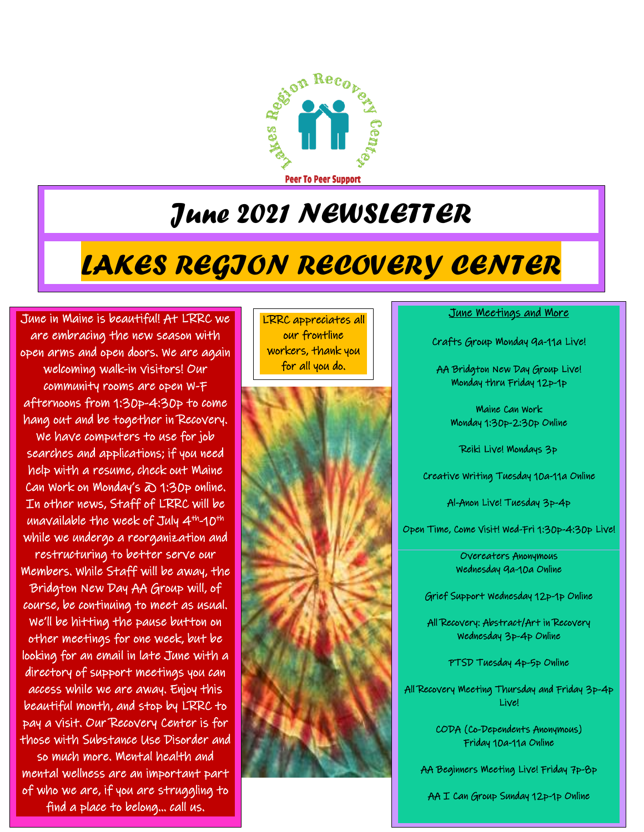

### *June 2021 NEWSLETTER*

## *LAKES REGION RECOVERY CENTER*

wollowing walk in visitors: Onli<br>community rooms are open W-F June in Maine is beautiful! At LRRC we are embracing the new season with open arms and open doors. We are again welcoming walk-in visitors! Our afternoons from 1:30p-4:30p to come hang out and be together in Recovery. We have computers to use for job searches and applications; if you need help with a resume, check out Maine Can Work on Monday's @ 1:30p online. In other news, Staff of LRRC will be unavailable the week of July 4th -10th while we undergo a reorganization and

restructuring to better serve our Members. While Staff will be away, the Bridgton New Day AA Group will, of course, be continuing to meet as usual. We'll be hitting the pause button on other meetings for one week, but be looking for an email in late June with a directory of support meetings you can access while we are away. Enjoy this beautiful month, and stop by LRRC to pay a visit. Our Recovery Center is for those with Substance Use Disorder and so much more. Mental health and

mental wellness are an important part of who we are, if you are struggling to find a place to belong… call us.

Ĩ

LRRC appreciates all our frontline workers, thank you for all you do.



#### June Meetings and More

Crafts Group Monday 9a-11a Live!

AA Bridgton New Day Group Live! Monday thru Friday 12p-1p

> Maine Can Work Monday 1:30p-2:30p Online

Reiki Live! Mondays 3p

Creative Writing Tuesday 10a-11a Online

Al-Anon Live! Tuesday 3p-4p

Open Time, Come Visit! Wed-Fri 1:30p-4:30p Live!

Overeaters Anonymous Wednesday 9a-10a Online

Grief Support Wednesday 12p-1p Online

All Recovery: Abstract/Art in Recovery Wednesday 3p-4p Online

PTSD Tuesday 4p-5p Online

All Recovery Meeting Thursday and Friday 3p-4p Live!

> CODA (Co-Dependents Anonymous) Friday 10a-11a Online

AA Beginners Meeting Live! Friday 7p-8p

AA I Can Group Sunday 12p-1p Online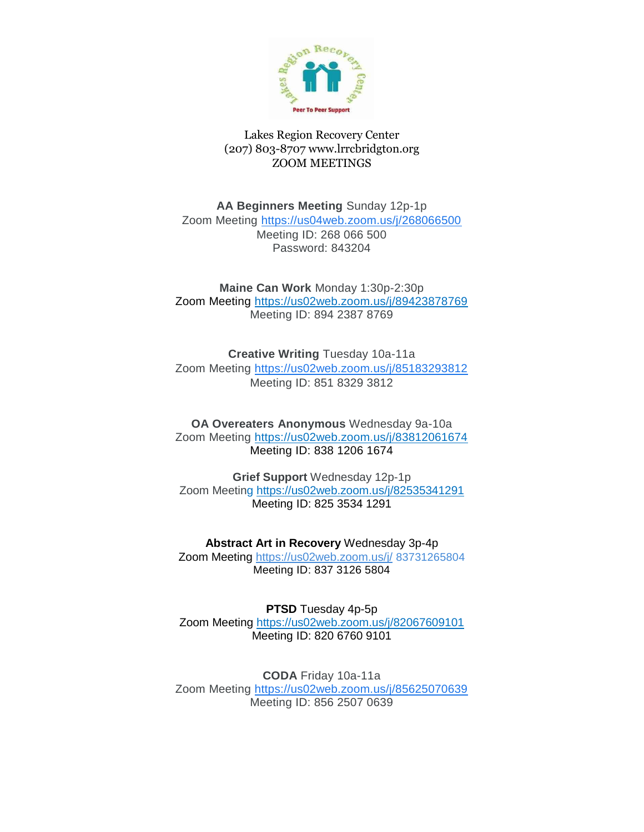

#### Lakes Region Recovery Center (207) 803-8707 www.lrrcbridgton.org ZOOM MEETINGS

**AA Beginners Meeting** Sunday 12p-1p Zoom Meeting [https://us04web.zoom.us/j/268066500](https://www.google.com/url?q=https://us04web.zoom.us/j/268066500?pwd%3DLzBheVdBVjhibThBbnJVQmFMSnZYUT09&sa=D&source=calendar&usd=2&usg=AOvVaw2WXkwxEWxeDdRdfXYPyx6e) Meeting ID: 268 066 500 Password: 843204

**Maine Can Work** Monday 1:30p-2:30p Zoom Meeting<https://us02web.zoom.us/j/89423878769> Meeting ID: 894 2387 8769

**Creative Writing** Tuesday 10a-11a Zoom Meeting [https://us02web.zoom.us/j/85183293812](https://www.google.com/url?q=https://us02web.zoom.us/j/85183293812&sa=D&source=calendar&usd=2&usg=AOvVaw1v0-wc2wJ4CIHkDE2CSgdz) Meeting ID: 851 8329 3812

**OA Overeaters Anonymous** Wednesday 9a-10a Zoom Meeting<https://us02web.zoom.us/j/83812061674> Meeting ID: 838 1206 1674

**Grief Support** Wednesday 12p-1p Zoom Meeting<https://us02web.zoom.us/j/82535341291> Meeting ID: 825 3534 1291

**Abstract Art in Recovery** Wednesday 3p-4p Zoom Meeting<https://us02web.zoom.us/j/> 83731265804 Meeting ID: 837 3126 5804

**PTSD** Tuesday 4p-5p Zoom Meeting <https://us02web.zoom.us/j/82067609101> Meeting ID: 820 6760 9101

**CODA** Friday 10a-11a Zoom Meeting [https://us02web.zoom.us/j/85625070639](https://www.google.com/url?q=https://us02web.zoom.us/j/85625070639&sa=D&source=calendar&usd=2&usg=AOvVaw0CBaMhb5AgePu1_aowAs83) Meeting ID: 856 2507 0639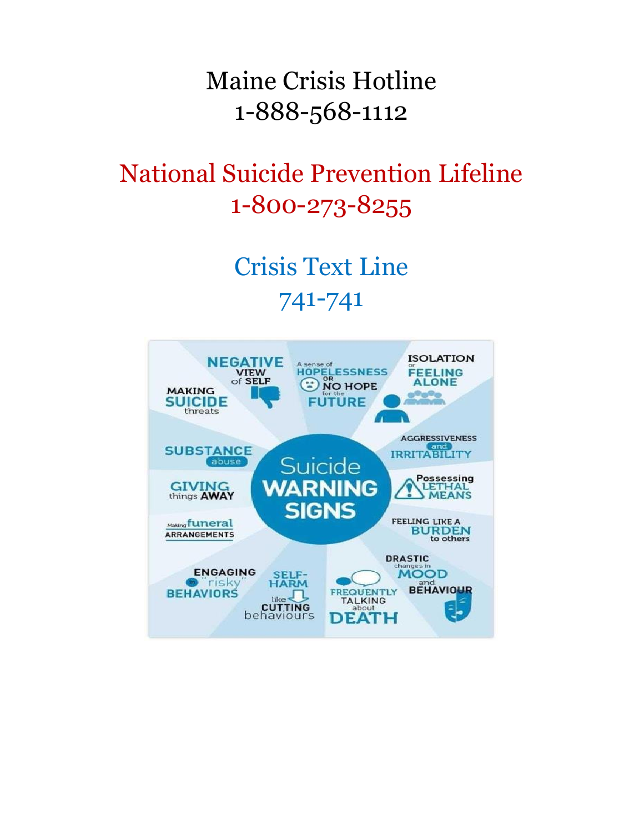### Maine Crisis Hotline 1-888-568-1112

# National Suicide Prevention Lifeline 1-800-273-8255

# Crisis Text Line 741-741

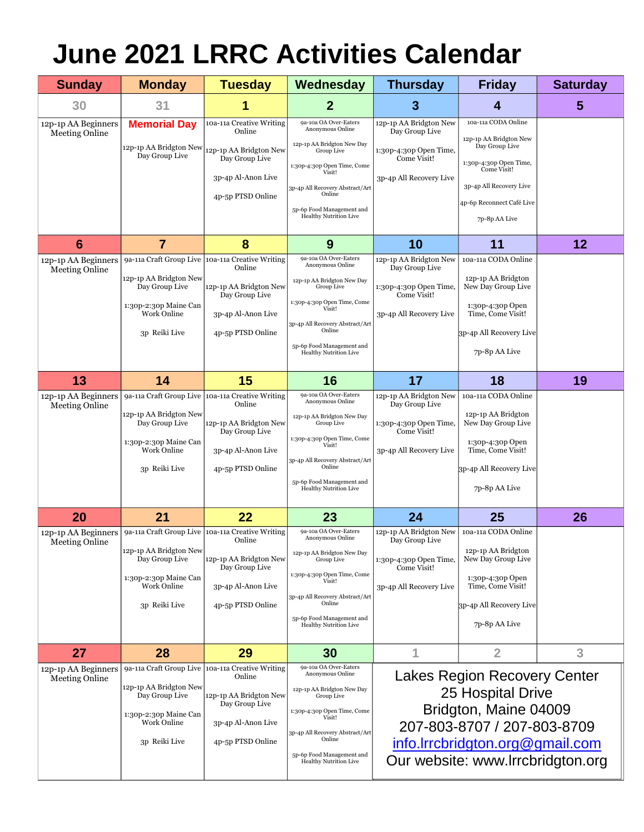# **June 2021 LRRC Activities Calendar**

| <b>Sunday</b>                                | <b>Monday</b>                                                                                                                | <b>Tuesday</b>                                                                                                                                    | Wednesday                                                                                                                                                                                                                                 | <b>Thursday</b>                                                                                                                                                                   | <b>Friday</b>                                                                                                                                                                     | <b>Saturday</b> |
|----------------------------------------------|------------------------------------------------------------------------------------------------------------------------------|---------------------------------------------------------------------------------------------------------------------------------------------------|-------------------------------------------------------------------------------------------------------------------------------------------------------------------------------------------------------------------------------------------|-----------------------------------------------------------------------------------------------------------------------------------------------------------------------------------|-----------------------------------------------------------------------------------------------------------------------------------------------------------------------------------|-----------------|
| 30                                           | 31                                                                                                                           | 1                                                                                                                                                 | $\overline{2}$                                                                                                                                                                                                                            | 3                                                                                                                                                                                 | 4                                                                                                                                                                                 | 5               |
| 12p-1p AA Beginners<br>Meeting Online        | <b>Memorial Day</b><br>12p-1p AA Bridgton New<br>Day Group Live                                                              | 10a-11a Creative Writing<br>Online<br>12p-1p AA Bridgton New<br>Day Group Live<br>3p-4p Al-Anon Live<br>4p-5p PTSD Online                         | 9a-10a OA Over-Eaters<br>Anonymous Online<br>12p-1p AA Bridgton New Day<br>Group Live<br>1:30p-4:30p Open Time, Come<br>Visit!<br>3p-4p All Recovery Abstract/Art<br>Online<br>5p-6p Food Management and<br><b>Healthy Nutrition Live</b> | 12p-1p AA Bridgton New<br>Day Group Live<br>1:30p-4:30p Open Time,<br>Come Visit!<br>3p-4p All Recovery Live                                                                      | 10a-11a CODA Online<br>12p-1p AA Bridgton New<br>Day Group Live<br>1:30p-4:30p Open Time,<br>Come Visit!<br>3p-4p All Recovery Live<br>4p-6p Reconnect Café Live<br>7p-8p AA Live |                 |
| $6\phantom{1}6$                              | $\overline{7}$                                                                                                               | 8                                                                                                                                                 | 9                                                                                                                                                                                                                                         | 10                                                                                                                                                                                | 11                                                                                                                                                                                | 12              |
| 12p-1p AA Beginners<br>Meeting Online        | 9a-11a Craft Group Live<br>12p-1p AA Bridgton New<br>Day Group Live<br>1:30p-2:30p Maine Can<br>Work Online<br>3p Reiki Live | 10a-11a Creative Writing<br>Online<br>12p-1p AA Bridgton New<br>Day Group Live<br>3p-4p Al-Anon Live<br>4p-5p PTSD Online                         | 9a-10a OA Over-Eaters<br>Anonymous Online<br>12p-1p AA Bridgton New Day<br>Group Live<br>1:30p-4:30p Open Time, Come<br>Visit!<br>3p-4p All Recovery Abstract/Art<br>Online<br>5p-6p Food Management and<br>Healthy Nutrition Live        | 12p-1p AA Bridgton New<br>Day Group Live<br>1:30p-4:30p Open Time,<br>Come Visit!<br>3p-4p All Recovery Live                                                                      | 10a-11a CODA Online<br>12p-1p AA Bridgton<br>New Day Group Live<br>1:30p-4:30p Open<br>Time, Come Visit!<br>3p-4p All Recovery Live<br>7p-8p AA Live                              |                 |
| 13                                           | 14                                                                                                                           | 15                                                                                                                                                | 16                                                                                                                                                                                                                                        | 17                                                                                                                                                                                | 18                                                                                                                                                                                | 19              |
| 12p-1p AA Beginners<br><b>Meeting Online</b> | 12p-1p AA Bridgton New<br>Day Group Live<br>1:30p-2:30p Maine Can<br>Work Online<br>3p Reiki Live                            | 9a-11a Craft Group Live 10a-11a Creative Writing<br>Online<br>12p-1p AA Bridgton New<br>Day Group Live<br>3p-4p Al-Anon Live<br>4p-5p PTSD Online | 9a-10a OA Over-Eaters<br>Anonymous Online<br>12p-1p AA Bridgton New Day<br>Group Live<br>1:30p-4:30p Open Time, Come<br>Visit!<br>3p-4p All Recovery Abstract/Art<br>Online<br>5p-6p Food Management and<br>Healthy Nutrition Live        | 12p-1p AA Bridgton New<br>Day Group Live<br>1:30p-4:30p Open Time,<br>Come Visit!<br>3p-4p All Recovery Live                                                                      | 10a-11a CODA Online<br>12p-1p AA Bridgton<br>New Day Group Live<br>1:30p-4:30p Open<br>Time, Come Visit!<br>3p-4p All Recovery Live<br>7p-8p AA Live                              |                 |
| 20                                           | 21                                                                                                                           | 22                                                                                                                                                | 23                                                                                                                                                                                                                                        | 24                                                                                                                                                                                | 25                                                                                                                                                                                | 26              |
| 12p-1p AA Beginners<br>Meeting Online        | 12p-1p AA Bridgton New<br>Day Group Live<br>1:30p-2:30p Maine Can<br>Work Online<br>3p Reiki Live                            | 9a-11a Craft Group Live 10a-11a Creative Writing<br>Online<br>12p-1p AA Bridgton New<br>Day Group Live<br>3p-4p Al-Anon Live<br>4p-5p PTSD Online | 9a-10a OA Over-Eaters<br>Anonymous Online<br>12p-1p AA Bridgton New Day<br>Group Live<br>1:30p-4:30p Open Time, Come<br>Visit!<br>3p-4p All Recovery Abstract/Art<br>Online<br>5p-6p Food Management and<br>Healthy Nutrition Live        | 12p-1p AA Bridgton New<br>Day Group Live<br>1:30p-4:30p Open Time,<br>Come Visit!<br>3p-4p All Recovery Live                                                                      | 10a-11a CODA Online<br>12p-1p AA Bridgton<br>New Day Group Live<br>1:30p-4:30p Open<br>Time, Come Visit!<br>3p-4p All Recovery Live<br>7p-8p AA Live                              |                 |
| 27                                           | 28                                                                                                                           | 29                                                                                                                                                | 30                                                                                                                                                                                                                                        | 1                                                                                                                                                                                 | $\overline{2}$                                                                                                                                                                    | 3               |
| 12p-1p AA Beginners<br>Meeting Online        | 12p-1p AA Bridgton New<br>Day Group Live<br>1:30p-2:30p Maine Can<br>Work Online<br>3p Reiki Live                            | 9a-11a Craft Group Live 10a-11a Creative Writing<br>Online<br>12p-1p AA Bridgton New<br>Day Group Live<br>3p-4p Al-Anon Live<br>4p-5p PTSD Online | 9a-10a OA Over-Eaters<br>Anonymous Online<br>12p-1p AA Bridgton New Day<br>Group Live<br>1:30p-4:30p Open Time, Come<br>Visit!<br>3p-4p All Recovery Abstract/Art<br>Online<br>5p-6p Food Management and<br>Healthy Nutrition Live        | Lakes Region Recovery Center<br>25 Hospital Drive<br>Bridgton, Maine 04009<br>207-803-8707 / 207-803-8709<br>info.lrrcbridgton.org@gmail.com<br>Our website: www.lrrcbridgton.org |                                                                                                                                                                                   |                 |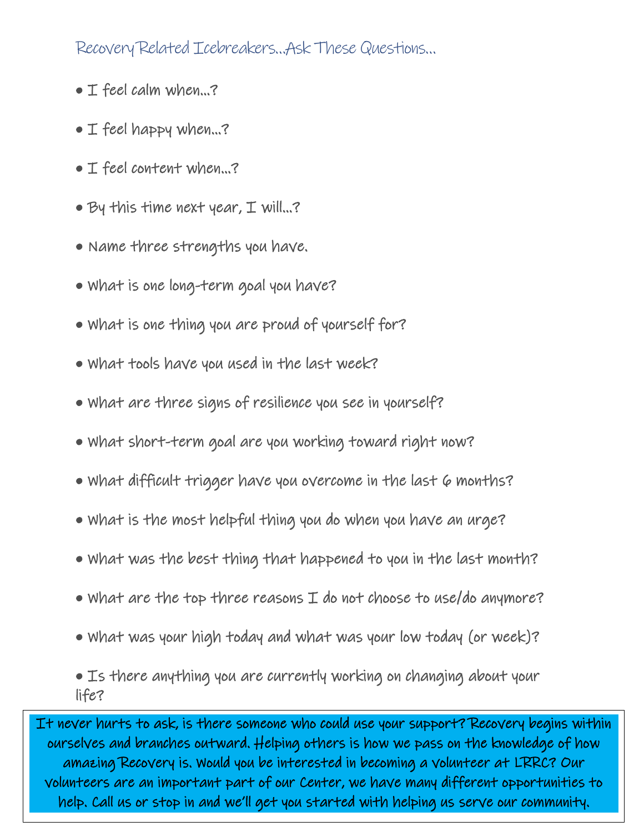### Recovery Related Icebreakers…Ask These Questions…

- I feel calm when...?
- I feel happy when...?
- I feel content when...?
- By this time next year, I will...?
- Name three strengths you have.
- What is one long-term goal you have?
- What is one thing you are proud of yourself for?
- What tools have you used in the last week?
- What are three signs of resilience you see in yourself?
- What short-term goal are you working toward right now?
- What difficult trigger have you overcome in the last 6 months?
- What is the most helpful thing you do when you have an urge?
- What was the best thing that happened to you in the last month?
- $\bullet$  what are the top three reasons  $\pm$  do not choose to use/do anymore?
- What was your high today and what was your low today (or week)?

• Is there anything you are currently working on changing about your life?

It never hurts to ask, is there someone who could use your support? Recovery begins within ourselves and branches outward. Helping others is how we pass on the knowledge of how amazing Recovery is. Would you be interested in becoming a volunteer at LRRC? Our volunteers are an important part of our Center, we have many different opportunities to help. Call us or stop in and we'll get you started with helping us serve our community.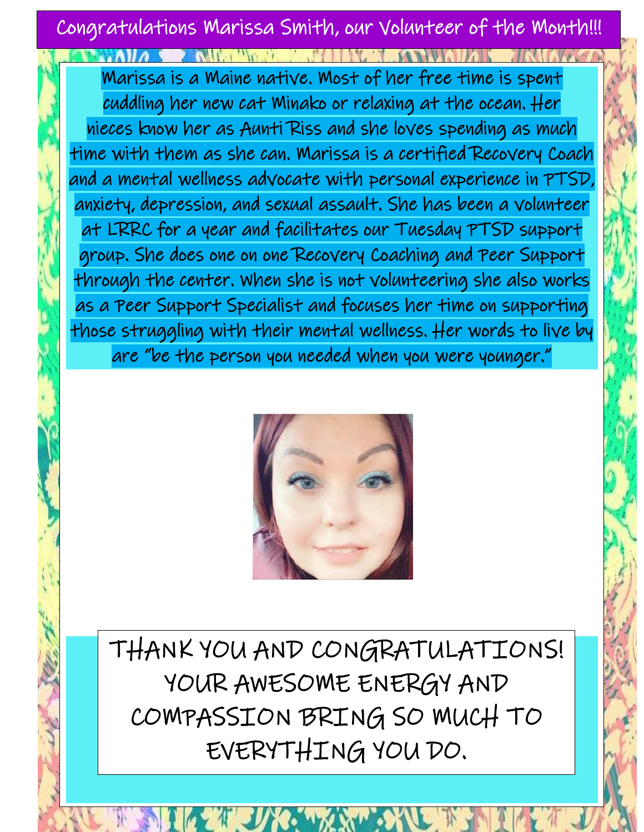### Congratulations Marissa Smith, our Volunteer of the Month!!!

#### $\mathbf{H}$  ,  $\mathbf{H}$

Marissa is a Maine native. Most of her free time is spent cuddling her new cat Minako or relaxing at the ocean. Her nieces know her as Aunti Riss and she loves spending as much time with them as she can. Marissa is a certified Recovery Coach and a mental wellness advocate with personal experience in PTSD, anxiety, depression, and sexual assault. She has been a volunteer at LRRC for a year and facilitates our Tuesday PTSD support group. She does one on one Recovery Coaching and Peer Support through the center. When she is not volunteering she also works as a Peer Support Specialist and focuses her time on supporting those struggling with their mental wellness. Her words to live by are "be the person you needed when you were younger."



THANK YOU AND CONGRATULATIONS! YOUR AWESOME ENERGY AND COMPASSION BRING SO MUCH TO EVERYTHING YOU DO.